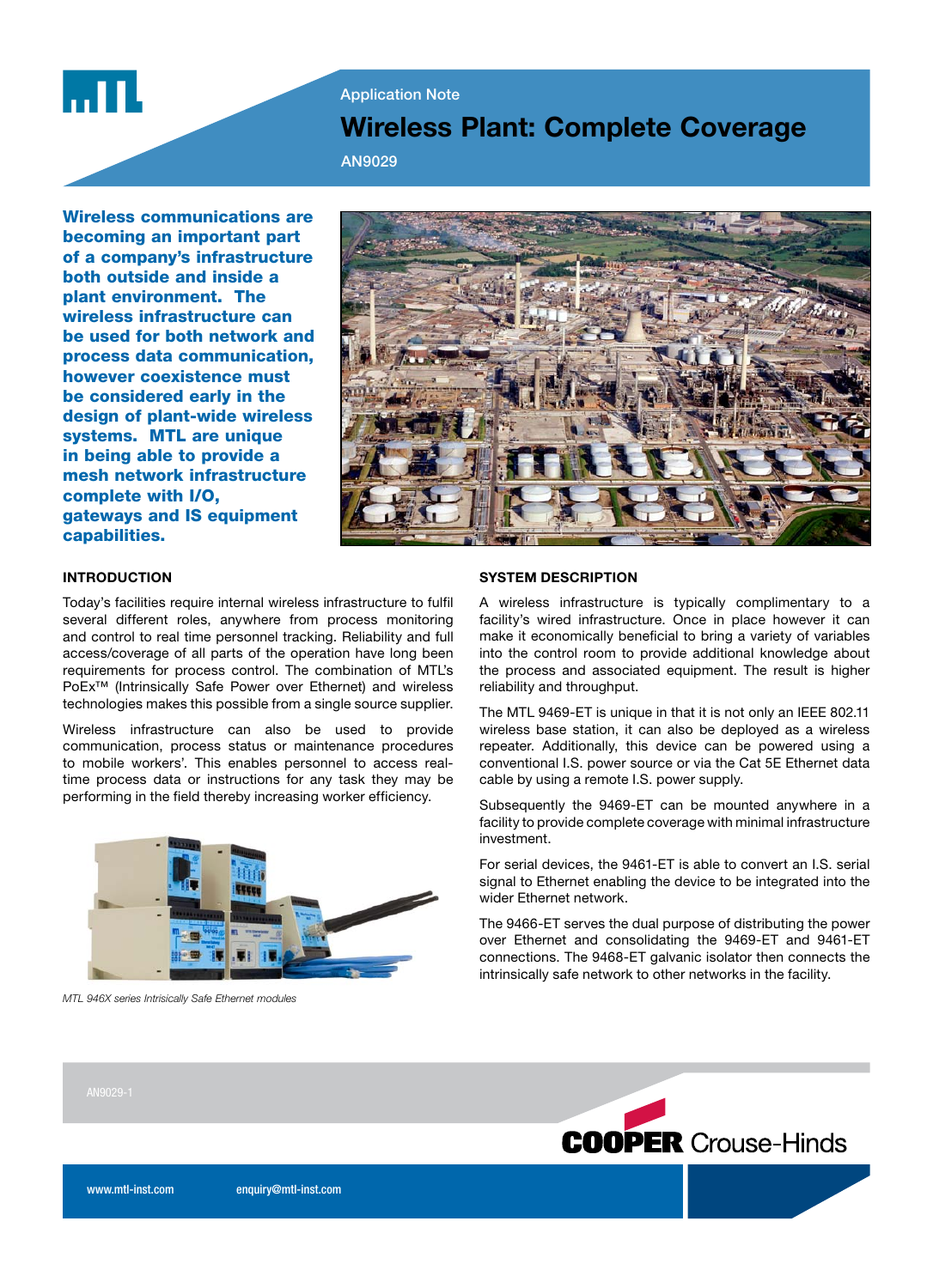

## **Application Note**

# Wireless Plant: Complete Coverage

AN9029

Wireless communications are becoming an important part of a company's infrastructure both outside and inside a plant environment. The wireless infrastructure can be used for both network and process data communication, however coexistence must be considered early in the design of plant-wide wireless systems. MTL are unique in being able to provide a mesh network infrastructure complete with I/O, gateways and IS equipment capabilities.



## INTRODUCTION

Today's facilities require internal wireless infrastructure to fulfil several different roles, anywhere from process monitoring and control to real time personnel tracking. Reliability and full access/coverage of all parts of the operation have long been requirements for process control. The combination of MTL's PoEx™ (Intrinsically Safe Power over Ethernet) and wireless technologies makes this possible from a single source supplier.

Wireless infrastructure can also be used to provide communication, process status or maintenance procedures to mobile workers'. This enables personnel to access realtime process data or instructions for any task they may be performing in the field thereby increasing worker efficiency.



MTL 946X series Intrisically Safe Ethernet modules

#### SYSTEM DESCRIPTION

A wireless infrastructure is typically complimentary to a facility's wired infrastructure. Once in place however it can make it economically beneficial to bring a variety of variables into the control room to provide additional knowledge about the process and associated equipment. The result is higher reliability and throughput.

The MTL 9469-ET is unique in that it is not only an IEEE 802.11 wireless base station, it can also be deployed as a wireless repeater. Additionally, this device can be powered using a conventional I.S. power source or via the Cat 5E Ethernet data cable by using a remote I.S. power supply.

Subsequently the 9469-ET can be mounted anywhere in a facility to provide complete coverage with minimal infrastructure investment.

For serial devices, the 9461-ET is able to convert an I.S. serial signal to Ethernet enabling the device to be integrated into the wider Ethernet network.

The 9466-ET serves the dual purpose of distributing the power over Ethernet and consolidating the 9469-ET and 9461-ET connections. The 9468-ET galvanic isolator then connects the intrinsically safe network to other networks in the facility.



www.mtl-inst.com enquiry@mtl-inst.com enquiry@mtl-inst.com